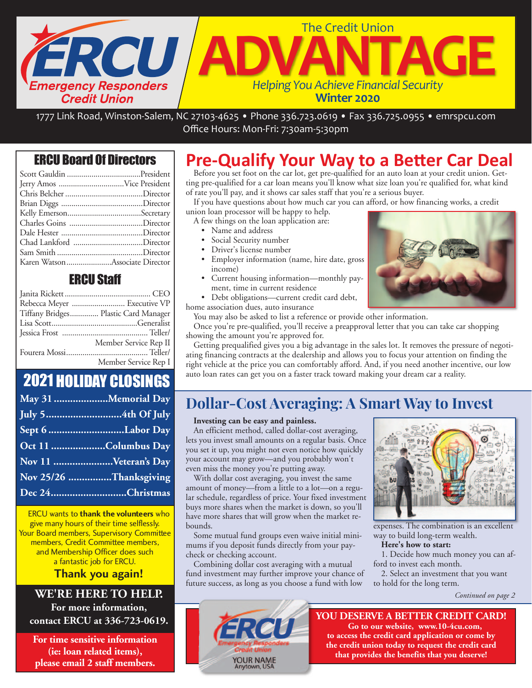

1777 Link Road, Winston‐Salem, NC 27103‐4625 • Phone 336.723.0619 • Fax 336.725.0955 • emrspcu.com Office Hours: Mon‐Fri: 7:30am‐5:30pm

### ERCU Board Of Directors

| Chad Lankford Director |  |
|------------------------|--|
|                        |  |
|                        |  |
|                        |  |

### ERCU Staff

| Rebecca Meyer  Executive VP          |
|--------------------------------------|
| Tiffany Bridges Plastic Card Manager |
|                                      |
|                                      |
| Member Service Rep II                |
|                                      |
| Member Service Rep I                 |

## 2021 HOLIDAY CLOSINGS

| May 31 Memorial Day    |
|------------------------|
|                        |
| Sept 6 Labor Day       |
| Oct 11 Columbus Day    |
| Nov 11 Veteran's Day   |
| Nov 25/26 Thanksgiving |
| Dec 24Christmas        |

ERCU wants to **thank the volunteers** who give many hours of their time selflessly. Your Board members, Supervisory Committee members, Credit Committee members, and Membership Officer does such a fantastic job for ERCU.

#### **Thank you again!**

### **WE'RE HERE TO HELP.**

**For more information, contact ERCU at 336-723-0619.**

**For time sensitive information (ie: loan related items), please email 2 staff members.**

# **PreQualify Your Way to a Better Car Deal**

Before you set foot on the car lot, get pre-qualified for an auto loan at your credit union. Getting pre-qualified for a car loan means you'll know what size loan you're qualified for, what kind of rate you'll pay, and it shows car sales staff that you're a serious buyer.

If you have questions about how much car you can afford, or how financing works, a credit

- union loan processor will be happy to help. A few things on the loan application are:
	- Name and address
	- Social Security number
	- Driver's license number
	- Employer information (name, hire date, gross income)
	- Current housing information—monthly payment, time in current residence
- Debt obligations—current credit card debt, home association dues, auto insurance

You may also be asked to list a reference or provide other information.

Once you're pre-qualified, you'll receive a preapproval letter that you can take car shopping showing the amount you're approved for.

Getting prequalified gives you a big advantage in the sales lot. It removes the pressure of negotiating financing contracts at the dealership and allows you to focus your attention on finding the right vehicle at the price you can comfortably afford. And, if you need another incentive, our low auto loan rates can get you on a faster track toward making your dream car a reality.

### **Dollar-Cost Averaging: A Smart Way to Invest**

#### **Investing can be easy and painless.**

An efficient method, called dollar-cost averaging, lets you invest small amounts on a regular basis. Once you set it up, you might not even notice how quickly your account may grow—and you probably won't even miss the money you're putting away.

With dollar cost averaging, you invest the same amount of money—from a little to a lot—on a regular schedule, regardless of price. Your fixed investment buys more shares when the market is down, so you'll have more shares that will grow when the market rebounds.

Some mutual fund groups even waive initial minimums if you deposit funds directly from your paycheck or checking account.

Combining dollar cost averaging with a mutual fund investment may further improve your chance of future success, as long as you choose a fund with low



expenses. The combination is an excellent way to build long-term wealth.

#### **Here's how to start:**

1. Decide how much money you can afford to invest each month.

2. Select an investment that you want to hold for the long term.

*Continued on page 2*



#### **YOU DESERVE A BETTER CREDIT CARD! Go to our website, www.10-4cu.com, to access the credit card application or come by the credit union today to request the credit card that provides the benefits that you deserve!**